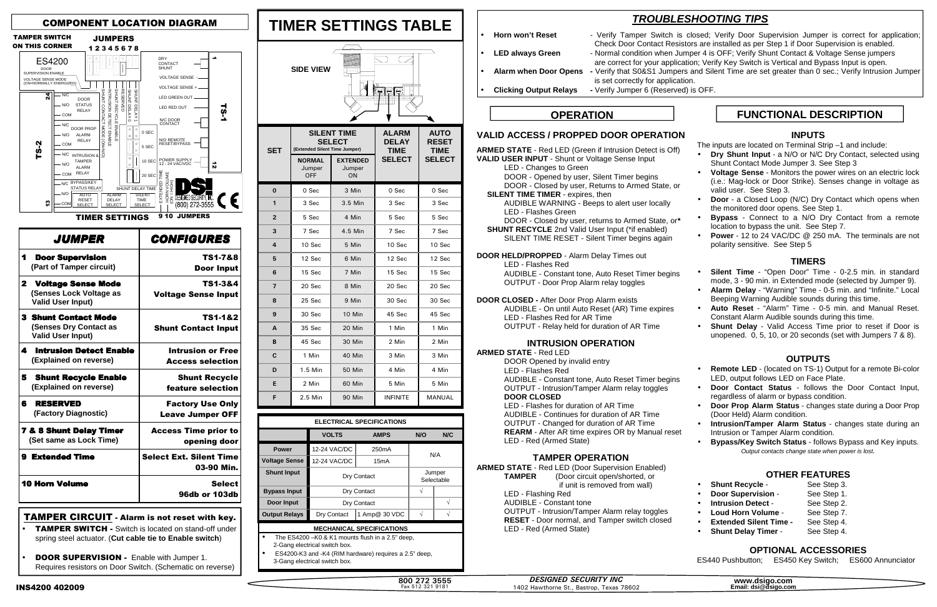#### **VALID ACCESS / PROPPED DOOR OPERATION**

**ARMED STATE** - Red LED (Green if Intrusion Detect is Off) **VALID USER INPUT** - Shunt or Voltage Sense Input LED - Changes to Green DOOR - Opened by user, Silent Timer begins DOOR - Closed by user, Returns to Armed State, or  **SILENT TIME TIMER** - expires, then AUDIBLE WARNING - Beeps to alert user locally LED - Flashes Green DOOR - Closed by user, returns to Armed State, or**\* SHUNT RECYCLE** 2nd Valid User Input (\*if enabled) SILENT TIME RESET - Silent Timer begins again **DOOR HELD/PROPPED** - Alarm Delay Times out LED - Flashes Red AUDIBLE - Constant tone, Auto Reset Timer begins OUTPUT - Door Prop Alarm relay toggles **DOOR CLOSED -** After Door Prop Alarm exists AUDIBLE - On until Auto Reset (AR) Time expires LED - Flashes Red for AR Time

**ARMED STATE** - Red LED (Door Supervision Enabled) **TAMPER** (Door circuit open/shorted, or if unit is removed from wall) LED - Flashing Red AUDIBLE - Constant tone OUTPUT - Intrusion/Tamper Alarm relay toggles **RESET** - Door normal, and Tamper switch closed LED - Red (Armed State)

OUTPUT - Relay held for duration of AR Time

### **INTRUSION OPERATION**

**ARMED STATE** - Red LED

DOOR Opened by invalid entry LED - Flashes Red AUDIBLE - Constant tone, Auto Reset Timer begins OUTPUT - Intrusion/Tamper Alarm relay toggles **DOOR CLOSED** LED - Flashes for duration of AR Time

 AUDIBLE - Continues for duration of AR Time OUTPUT - Changed for duration of AR Time **REARM** - After AR time expires OR by Manual reset LED - Red (Armed State)

## **TAMPER OPERATION**

- The ES4200 –K0 & K1 mounts flush in a 2.5" deep, 2-Gang electrical switch box.
- ES4200-K3 and -K4 (RIM hardware) requires a 2.5" deep, 3-Gang electrical switch box.

800 272 3555 Fax 512 321 9181

# **TROUBLESHOOTING TIPS**<br>Horn won't Reset **Fig. 1** - Verify Tamper Switch is closed: Verify Door Sur

- Verify Tamper Switch is closed; Verify Door Supervision Jumper is correct for application; Check Door Contact Resistors are installed as per Step 1 if Door Supervision is enabled. • **LED always Green** - Normal condition when Jumper 4 is OFF; Verify Shunt Contact & Voltage Sense jumpers are correct for your application; Verify Key Switch is Vertical and Bypass Input is open. • **Alarm when Door Opens -** Verify that S0&S1 Jumpers and Silent Time are set greater than 0 sec.; Verify Intrusion Jumper

| <b>ELECTRICAL SPECIFICATIONS</b>                    |              |                      |     |     |  |  |  |
|-----------------------------------------------------|--------------|----------------------|-----|-----|--|--|--|
|                                                     | <b>VOLTS</b> | <b>AMPS</b>          | N/O | N/C |  |  |  |
| <b>Power</b>                                        | 12-24 VAC/DC | 250 <sub>m</sub> A   |     |     |  |  |  |
| 'oltage Sense                                       | 12-24 VAC/DC | 15mA                 | N/A |     |  |  |  |
| <b>Shunt Input</b>                                  | Dry Contact  | Jumper<br>Selectable |     |     |  |  |  |
| <b>Bypass Input</b>                                 | Dry Contact  |                      |     |     |  |  |  |
| Door Input                                          | Dry Contact  |                      |     |     |  |  |  |
| <b>Output Relays</b>                                | Dry Contact  | 1 Amp@ 30 VDC        |     |     |  |  |  |
| <b>MECHANICAL SPECIFICATIONS</b>                    |              |                      |     |     |  |  |  |
| The $F34200$ $-K0$ 8 K1 mounts flush in a 2.5" deep |              |                      |     |     |  |  |  |

| <b>TIMER SETTINGS TABLE</b>                 |                                       |                                     |                                                |                                                      |  |  |  |
|---------------------------------------------|---------------------------------------|-------------------------------------|------------------------------------------------|------------------------------------------------------|--|--|--|
| <b>SIDE VIEW</b><br>mmlm                    |                                       |                                     |                                                |                                                      |  |  |  |
| (Extended Silent Time Jumper)<br><b>SET</b> |                                       | <b>SILENT TIME</b><br><b>SELECT</b> | ALARM<br><b>DELAY</b><br>TIME<br><b>SELECT</b> | <b>AUTO</b><br><b>RESET</b><br>TIME<br><b>SELECT</b> |  |  |  |
|                                             | <b>NORMAL</b><br>Jumper<br><b>OFF</b> | <b>EXTENDED</b><br>Jumper<br>ON     |                                                |                                                      |  |  |  |
| $\bf{0}$                                    | 0 Sec                                 | 3 Min                               | 0 Sec                                          | 0 Sec                                                |  |  |  |
| 1                                           | 3 Sec                                 | 3.5 Min                             | 3 Sec                                          | 3 Sec                                                |  |  |  |
| $\overline{2}$                              | 5 Sec                                 | 4 Min                               | 5 Sec                                          | 5 Sec                                                |  |  |  |
| 3                                           | 7 Sec                                 | 4.5 Min                             | 7 Sec                                          | 7 Sec                                                |  |  |  |
| 4                                           | 10 Sec                                | 5 Min                               | 10 Sec                                         | 10 Sec                                               |  |  |  |
| 5                                           | 12 Sec                                | 6 Min                               | 12 Sec                                         | 12 Sec                                               |  |  |  |
| 6                                           | 15 Sec                                | 7 Min                               | 15 Sec                                         | 15 Sec                                               |  |  |  |
| 7                                           | 20 Sec                                | 8 Min                               | 20 Sec                                         | 20 Sec                                               |  |  |  |
| 8                                           | 25 Sec                                | 9 Min                               | 30 Sec                                         | 30 Sec                                               |  |  |  |
| 9                                           | 30 Sec                                | 10 Min                              | 45 Sec                                         | 45 Sec                                               |  |  |  |
| A                                           | 35 Sec                                | 20 Min                              | 1 Min                                          | 1 Min                                                |  |  |  |
| B                                           | 45 Sec                                | 30 Min                              | 2 Min                                          | 2 Min                                                |  |  |  |
| C                                           | 1 Min                                 | 40 Min                              | 3 Min                                          | 3 Min                                                |  |  |  |
| D                                           | 1.5 Min                               | 50 Min                              | 4 Min                                          | 4 Min                                                |  |  |  |
| E                                           | 2 Min                                 | 60 Min                              | 5 Min                                          | 5 Min                                                |  |  |  |
| F                                           | 2.5 Min                               | 90 Min                              | <b>INFINITE</b>                                | MANUAL                                               |  |  |  |

- **TAMPER SWITCH** Switch is located on stand-off under spring steel actuator. (**Cut cable tie to Enable switch**)
- **DOOR SUPERVISION Enable with Jumper 1.** Requires resistors on Door Switch. (Schematic on reverse)
- is set correctly for application.
- **Clicking Output Relays -** Verify Jumper 6 (Reserved) is OFF.

**www.dsigo.com Email: dsi@dsigo.com**

# **OPERATION**

### **INPUTS**

The inputs are located on Terminal Strip –1 and include:

- **Dry Shunt Input** a N/O or N/C Dry Contact, selected using Shunt Contact Mode Jumper 3. See Step 3
- **Voltage Sense** Monitors the power wires on an electric lock (i.e.: Mag-lock or Door Strike). Senses change in voltage as valid user. See Step 3.
- **Door** a Closed Loop (N/C) Dry Contact which opens when the monitored door opens. See Step 1.
- **Bypass** Connect to a N/O Dry Contact from a remote location to bypass the unit. See Step 7.
- **Power** 12 to 24 VAC/DC @ 250 mA. The terminals are not polarity sensitive. See Step 5

#### **TIMERS**

- **Silent Time** "Open Door" Time 0-2.5 min. in standard mode, 3 - 90 min. in Extended mode (selected by Jumper 9).
- **Alarm Delay** "Warning" Time 0-5 min. and "Infinite." Local Beeping Warning Audible sounds during this time.
- **Auto Reset** "Alarm" Time 0-5 min. and Manual Reset. Constant Alarm Audible sounds during this time.
- **Shunt Delay** Valid Access Time prior to reset if Door is unopened. 0, 5, 10, or 20 seconds (set with Jumpers 7 & 8).

### **OUTPUTS**

- **Remote LED** (located on TS-1) Output for a remote Bi-color LED, output follows LED on Face Plate.
- **Door Contact Status** follows the Door Contact Input, regardless of alarm or bypass condition.
- **Door Prop Alarm Status** changes state during a Door Prop (Door Held) Alarm condition.
- **Intrusion/Tamper Alarm Status** changes state during an Intrusion or Tamper Alarm condition.
- **Bypass/Key Switch Status** follows Bypass and Key inputs. Output contacts change state when power is lost.

### **OTHER FEATURES**

- **Shunt Recycle -** See Step 3.
- **Door Supervision See Step 1.**
- **Intrusion Detect See Step 2.**
- **Loud Horn Volume** See Step 7.
- **Extended Silent Time -** See Step 4.
- **Shunt Delay Timer -** See Step 4.
- 
- 
- 
- 
- 

### **OPTIONAL ACCESSORIES**

ES440 Pushbutton; ES450 Key Switch; ES600 Annunciator

| <i><b>JUMPER</b></i>                                          |                                                                                   | <b>CONFIGURES</b>                                   |  |  |
|---------------------------------------------------------------|-----------------------------------------------------------------------------------|-----------------------------------------------------|--|--|
| 1                                                             | <b>Door Supervision</b><br>(Part of Tamper circuit)                               | TS1-7&8<br><b>Door Input</b>                        |  |  |
| $\mathbf{2}^-$                                                | <b>Voltage Sense Mode</b><br>(Senses Lock Voltage as<br><b>Valid User Input)</b>  | TS1-3&4<br><b>Voltage Sense Input</b>               |  |  |
|                                                               | <b>3 Shunt Contact Mode</b><br>(Senses Dry Contact as<br><b>Valid User Input)</b> | TS1-1&2<br><b>Shunt Contact Input</b>               |  |  |
| 4                                                             | <b>Intrusion Detect Enable</b><br>(Explained on reverse)                          | <b>Intrusion or Free</b><br><b>Access selection</b> |  |  |
| 5                                                             | <b>Shunt Recycle Enable</b><br>(Explained on reverse)                             | <b>Shunt Recycle</b><br>feature selection           |  |  |
| 6                                                             | <b>RESERVED</b><br>(Factory Diagnostic)                                           | <b>Factory Use Only</b><br><b>Leave Jumper OFF</b>  |  |  |
| <b>7 &amp; 8 Shunt Delay Timer</b><br>(Set same as Lock Time) |                                                                                   | <b>Access Time prior to</b><br>opening door         |  |  |
|                                                               | <b>9 Extended Time</b>                                                            | <b>Select Ext. Silent Time</b><br>03-90 Min.        |  |  |
| <b>10 Horn Volume</b>                                         |                                                                                   | <b>Select</b><br><b>96db or 103db</b>               |  |  |

#### TAMPER CIRCUIT - Alarm is not reset with key.



# **FUNCTIONAL DESCRIPTION**